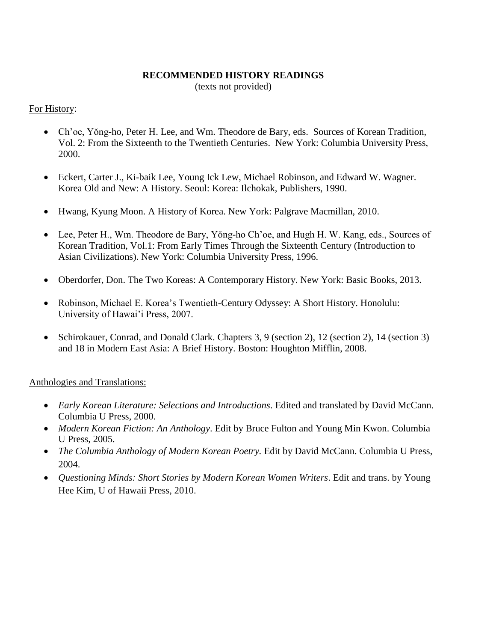## **RECOMMENDED HISTORY READINGS**

(texts not provided)

# For History:

- Ch'oe, Yŏng-ho, Peter H. Lee, and Wm. Theodore de Bary, eds. Sources of Korean Tradition, Vol. 2: From the Sixteenth to the Twentieth Centuries. New York: Columbia University Press, 2000.
- Eckert, Carter J., Ki-baik Lee, Young Ick Lew, Michael Robinson, and Edward W. Wagner. Korea Old and New: A History. Seoul: Korea: Ilchokak, Publishers, 1990.
- Hwang, Kyung Moon. A History of Korea. New York: Palgrave Macmillan, 2010.
- Lee, Peter H., Wm. Theodore de Bary, Yŏng-ho Ch'oe, and Hugh H. W. Kang, eds., Sources of Korean Tradition, Vol.1: From Early Times Through the Sixteenth Century (Introduction to Asian Civilizations). New York: Columbia University Press, 1996.
- Oberdorfer, Don. The Two Koreas: A Contemporary History. New York: Basic Books, 2013.
- Robinson, Michael E. Korea's Twentieth-Century Odyssey: A Short History. Honolulu: University of Hawai'i Press, 2007.
- Schirokauer, Conrad, and Donald Clark. Chapters 3, 9 (section 2), 12 (section 2), 14 (section 3) and 18 in Modern East Asia: A Brief History. Boston: Houghton Mifflin, 2008.

## Anthologies and Translations:

- *Early Korean Literature: Selections and Introductions*. Edited and translated by David McCann. Columbia U Press, 2000.
- *Modern Korean Fiction: An Anthology*. Edit by Bruce Fulton and Young Min Kwon. Columbia U Press, 2005.
- *The Columbia Anthology of Modern Korean Poetry.* Edit by David McCann. Columbia U Press, 2004.
- *Questioning Minds: Short Stories by Modern Korean Women Writers*. Edit and trans. by Young Hee Kim, U of Hawaii Press, 2010.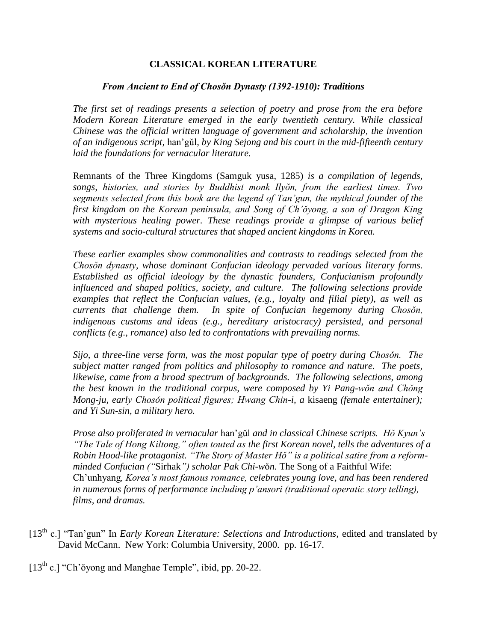## **CLASSICAL KOREAN LITERATURE**

## *From Ancient to End of Chosǒn Dynasty (1392-1910): Traditions*

*The first set of readings presents a selection of poetry and prose from the era before Modern Korean Literature emerged in the early twentieth century. While classical Chinese was the official written language of government and scholarship, the invention of an indigenous script,* han'gǔl*, by King Sejong and his court in the mid-fifteenth century laid the foundations for vernacular literature.*

Remnants of the Three Kingdoms (Samguk yusa, 1285) *is a compilation of legends, songs, histories, and stories by Buddhist monk Ilyŏn, from the earliest times. Two segments selected from this book are the legend of Tan'gun, the mythical founder of the first kingdom on the Korean peninsula, and Song of Ch'ǒyong, a son of Dragon King with mysterious healing power. These readings provide a glimpse of various belief systems and socio-cultural structures that shaped ancient kingdoms in Korea.* 

*These earlier examples show commonalities and contrasts to readings selected from the Chosǒn dynasty, whose dominant Confucian ideology pervaded various literary forms. Established as official ideology by the dynastic founders, Confucianism profoundly influenced and shaped politics, society, and culture. The following selections provide examples that reflect the Confucian values, (e.g., loyalty and filial piety), as well as currents that challenge them. In spite of Confucian hegemony during Chosǒn, indigenous customs and ideas (e.g., hereditary aristocracy) persisted, and personal conflicts (e.g., romance) also led to confrontations with prevailing norms.*

*Sijo, a three-line verse form, was the most popular type of poetry during Chosǒn. The subject matter ranged from politics and philosophy to romance and nature. The poets, likewise, came from a broad spectrum of backgrounds. The following selections, among the best known in the traditional corpus, were composed by Yi Pang-wǒn and Chǒng Mong-ju, early Chosǒn political figures; Hwang Chin-i, a* kisaeng *(female entertainer); and Yi Sun-sin, a military hero.* 

*Prose also proliferated in vernacular* han'gǔl *and in classical Chinese scripts. Hǒ Kyun's "The Tale of Hong Kiltong," often touted as the first Korean novel, tells the adventures of a Robin Hood-like protagonist. "The Story of Master Hǒ" is a political satire from a reformminded Confucian ("*Sirhak*") scholar Pak Chi-w*ǒ*n.* The Song of a Faithful Wife: Ch'unhyang*, Korea's most famous romance, celebrates young love, and has been rendered in numerous forms of performance including p'ansori (traditional operatic story telling), films, and dramas.*

- [13<sup>th</sup> c.] "Tan'gun" In *Early Korean Literature: Selections and Introductions*, edited and translated by David McCann. New York: Columbia University, 2000. pp. 16-17.
- $[13<sup>th</sup> c.]$  "Ch' $\delta$ yong and Manghae Temple", ibid, pp. 20-22.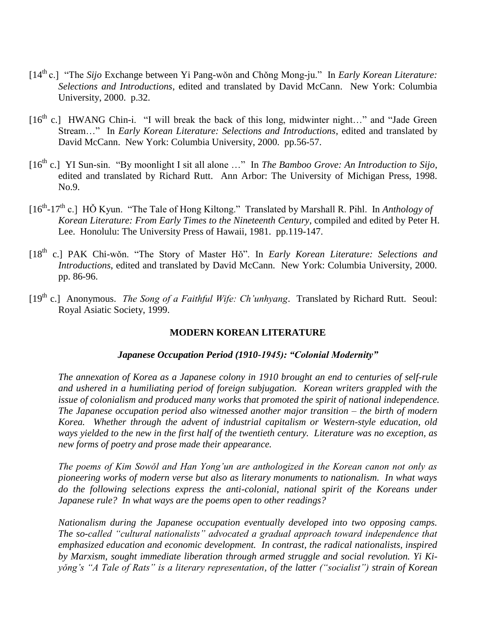- [14th c.] "The *Sijo* Exchange between Yi Pang-wǒn and Chǒng Mong-ju." In *Early Korean Literature: Selections and Introductions*, edited and translated by David McCann. New York: Columbia University, 2000. p.32.
- $[16<sup>th</sup> c.]$  HWANG Chin-i. "I will break the back of this long, midwinter night..." and "Jade Green Stream…" In *Early Korean Literature: Selections and Introductions*, edited and translated by David McCann. New York: Columbia University, 2000. pp.56-57.
- [16<sup>th</sup> c.] YI Sun-sin. "By moonlight I sit all alone ..." In *The Bamboo Grove: An Introduction to Sijo*, edited and translated by Richard Rutt. Ann Arbor: The University of Michigan Press, 1998. No.9.
- [16<sup>th</sup>-17<sup>th</sup> c.] HŎ Kyun. "The Tale of Hong Kiltong." Translated by Marshall R. Pihl. In *Anthology of Korean Literature: From Early Times to the Nineteenth Century*, compiled and edited by Peter H. Lee. Honolulu: The University Press of Hawaii, 1981. pp.119-147.
- [18th c.] PAK Chi-wǒn. "The Story of Master Hǒ". In *Early Korean Literature: Selections and Introductions*, edited and translated by David McCann. New York: Columbia University, 2000. pp. 86-96.
- [19<sup>th</sup> c.] Anonymous. *The Song of a Faithful Wife: Ch'unhyang*. Translated by Richard Rutt. Seoul: Royal Asiatic Society, 1999.

## **MODERN KOREAN LITERATURE**

## *Japanese Occupation Period (1910-1945): "Colonial Modernity"*

*The annexation of Korea as a Japanese colony in 1910 brought an end to centuries of self-rule and ushered in a humiliating period of foreign subjugation. Korean writers grappled with the issue of colonialism and produced many works that promoted the spirit of national independence. The Japanese occupation period also witnessed another major transition – the birth of modern Korea. Whether through the advent of industrial capitalism or Western-style education, old ways yielded to the new in the first half of the twentieth century. Literature was no exception, as new forms of poetry and prose made their appearance.*

*The poems of Kim Sowǒl and Han Yong'un are anthologized in the Korean canon not only as pioneering works of modern verse but also as literary monuments to nationalism. In what ways* do the following selections express the anti-colonial, national spirit of the Koreans under *Japanese rule? In what ways are the poems open to other readings?*

*Nationalism during the Japanese occupation eventually developed into two opposing camps. The so-called "cultural nationalists" advocated a gradual approach toward independence that emphasized education and economic development. In contrast, the radical nationalists, inspired by Marxism, sought immediate liberation through armed struggle and social revolution. Yi Kiyǒng's "A Tale of Rats" is a literary representation, of the latter ("socialist") strain of Korean*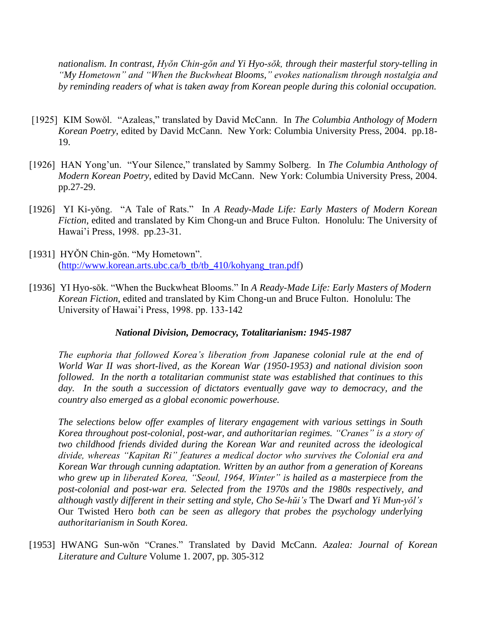*nationalism. In contrast, Hyŏn Chin-gŏn and Yi Hyo-sŏk, through their masterful story-telling in "My Hometown" and "When the Buckwheat Blooms," evokes nationalism through nostalgia and by reminding readers of what is taken away from Korean people during this colonial occupation.*

- [1925] KIM Sowǒl. "Azaleas," translated by David McCann. In *The Columbia Anthology of Modern Korean Poetry*, edited by David McCann. New York: Columbia University Press, 2004. pp.18- 19.
- [1926] HAN Yong'un. "Your Silence," translated by Sammy Solberg. In *The Columbia Anthology of Modern Korean Poetry*, edited by David McCann. New York: Columbia University Press, 2004. pp.27-29.
- [1926] YI Ki-yǒng. "A Tale of Rats." In *A Ready-Made Life: Early Masters of Modern Korean Fiction*, edited and translated by Kim Chong-un and Bruce Fulton. Honolulu: The University of Hawai'i Press, 1998. pp.23-31.
- [1931] HYŎN Chin-gŏn. "My Hometown". [\(http://www.korean.arts.ubc.ca/b\\_tb/tb\\_410/kohyang\\_tran.pdf\)](http://www.korean.arts.ubc.ca/b_tb/tb_410/kohyang_tran.pdf)
- [1936] YI Hyo-sŏk. "When the Buckwheat Blooms." In *A Ready-Made Life: Early Masters of Modern Korean Fiction*, edited and translated by Kim Chong-un and Bruce Fulton. Honolulu: The University of Hawai'i Press, 1998. pp. 133-142

## *National Division, Democracy, Totalitarianism: 1945-1987*

*The euphoria that followed Korea's liberation from Japanese colonial rule at the end of World War II was short-lived, as the Korean War (1950-1953) and national division soon followed. In the north a totalitarian communist state was established that continues to this day. In the south a succession of dictators eventually gave way to democracy, and the country also emerged as a global economic powerhouse.*

*The selections below offer examples of literary engagement with various settings in South Korea throughout post-colonial, post-war, and authoritarian regimes. "Cranes" is a story of two childhood friends divided during the Korean War and reunited across the ideological divide, whereas "Kapitan Ri" features a medical doctor who survives the Colonial era and Korean War through cunning adaptation. Written by an author from a generation of Koreans who grew up in liberated Korea, "Seoul, 1964, Winter" is hailed as a masterpiece from the post-colonial and post-war era. Selected from the 1970s and the 1980s respectively, and although vastly different in their setting and style, Cho Se-hŭi's* The Dwarf *and Yi Mun-yǒl's*  Our Twisted Hero *both can be seen as allegory that probes the psychology underlying authoritarianism in South Korea.* 

[1953] HWANG Sun-wŏn "Cranes." Translated by David McCann. *Azalea: Journal of Korean Literature and Culture* Volume 1. 2007, pp. 305-312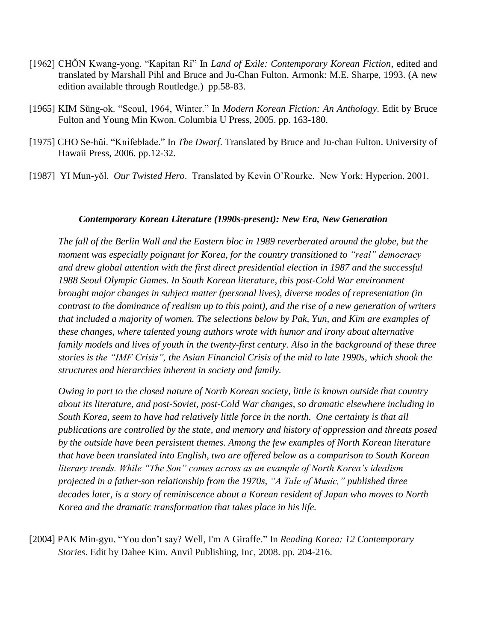- [1962] CHON Kwang-yong. "Kapitan Ri" In *Land of Exile: Contemporary Korean Fiction*, edited and translated by Marshall Pihl and Bruce and Ju-Chan Fulton. Armonk: M.E. Sharpe, 1993. (A new edition available through Routledge.) pp.58-83.
- [1965] KIM Sŭng-ok. "Seoul, 1964, Winter." In *Modern Korean Fiction: An Anthology*. Edit by Bruce Fulton and Young Min Kwon. Columbia U Press, 2005. pp. 163-180.
- [1975] CHO Se-hŭi. "Knifeblade." In *The Dwarf*. Translated by Bruce and Ju-chan Fulton. University of Hawaii Press, 2006. pp.12-32.
- [1987] YI Mun-yǒl. *Our Twisted Hero*. Translated by Kevin O'Rourke. New York: Hyperion, 2001.

#### *Contemporary Korean Literature (1990s-present): New Era, New Generation*

*The fall of the Berlin Wall and the Eastern bloc in 1989 reverberated around the globe, but the moment was especially poignant for Korea, for the country transitioned to "real" democracy and drew global attention with the first direct presidential election in 1987 and the successful 1988 Seoul Olympic Games. In South Korean literature, this post-Cold War environment brought major changes in subject matter (personal lives), diverse modes of representation (in contrast to the dominance of realism up to this point), and the rise of a new generation of writers that included a majority of women. The selections below by Pak, Yun, and Kim are examples of these changes, where talented young authors wrote with humor and irony about alternative family models and lives of youth in the twenty-first century. Also in the background of these three stories is the "IMF Crisis", the Asian Financial Crisis of the mid to late 1990s, which shook the structures and hierarchies inherent in society and family.* 

*Owing in part to the closed nature of North Korean society, little is known outside that country about its literature, and post-Soviet, post-Cold War changes, so dramatic elsewhere including in South Korea, seem to have had relatively little force in the north. One certainty is that all publications are controlled by the state, and memory and history of oppression and threats posed by the outside have been persistent themes. Among the few examples of North Korean literature that have been translated into English, two are offered below as a comparison to South Korean literary trends. While "The Son" comes across as an example of North Korea's idealism projected in a father-son relationship from the 1970s, "A Tale of Music," published three decades later, is a story of reminiscence about a Korean resident of Japan who moves to North Korea and the dramatic transformation that takes place in his life.*

[2004] PAK Min-gyu. "You don't say? Well, I'm A Giraffe." In *Reading Korea: 12 Contemporary Stories*. Edit by Dahee Kim. Anvil Publishing, Inc, 2008. pp. 204-216.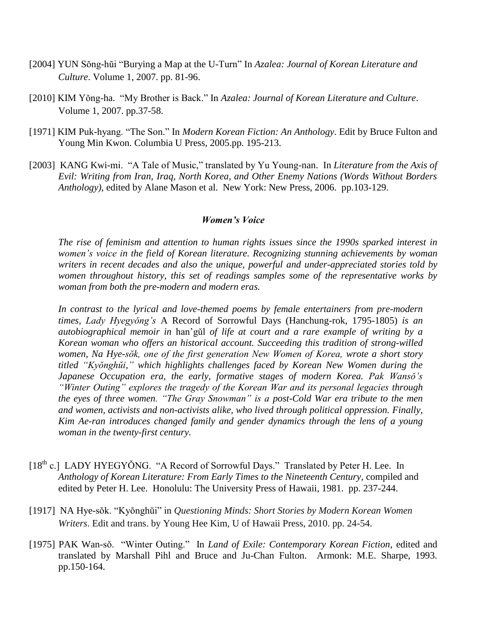- [2004] YUN Sŏng-hŭi "Burying a Map at the U-Turn" In *Azalea: Journal of Korean Literature and Culture*. Volume 1, 2007. pp. 81-96.
- [2010] KIM Yǒng-ha. "My Brother is Back." In *Azalea: Journal of Korean Literature and Culture*. Volume 1, 2007. pp.37-58.
- [1971] KIM Puk-hyang. "The Son." In *Modern Korean Fiction: An Anthology*. Edit by Bruce Fulton and Young Min Kwon. Columbia U Press, 2005.pp. 195-213.
- [2003] KANG Kwi-mi. "A Tale of Music," translated by Yu Young-nan. In *Literature from the Axis of Evil: Writing from Iran, Iraq, North Korea, and Other Enemy Nations (Words Without Borders Anthology)*, edited by Alane Mason et al. New York: New Press, 2006. pp.103-129.

#### *Women's Voice*

*The rise of feminism and attention to human rights issues since the 1990s sparked interest in women's voice in the field of Korean literature. Recognizing stunning achievements by woman writers in recent decades and also the unique, powerful and under-appreciated stories told by women throughout history, this set of readings samples some of the representative works by woman from both the pre-modern and modern eras.*

*In contrast to the lyrical and love-themed poems by female entertainers from pre-modern times, Lady Hyegyǒng's* A Record of Sorrowful Days (Hanchung-rok, 1795-1805) *is an autobiographical memoir in* han'gǔl *of life at court and a rare example of writing by a Korean woman who offers an historical account. Succeeding this tradition of strong-willed women, Na Hye-sŏk, one of the first generation New Women of Korea, wrote a short story titled "Kyŏnghŭi," which highlights challenges faced by Korean New Women during the Japanese Occupation era, the early, formative stages of modern Korea. Pak Wansǒ's "Winter Outing" explores the tragedy of the Korean War and its personal legacies through the eyes of three women. "The Gray Snowman" is a post-Cold War era tribute to the men and women, activists and non-activists alike, who lived through political oppression. Finally, Kim Ae-ran introduces changed family and gender dynamics through the lens of a young woman in the twenty-first century.* 

- [18<sup>th</sup> c.] LADY HYEGYŎNG. "A Record of Sorrowful Days." Translated by Peter H. Lee. In *Anthology of Korean Literature: From Early Times to the Nineteenth Century*, compiled and edited by Peter H. Lee. Honolulu: The University Press of Hawaii, 1981. pp. 237-244.
- [1917] NA Hye-sŏk. "Kyŏnghŭi" in *Questioning Minds: Short Stories by Modern Korean Women Writers*. Edit and trans. by Young Hee Kim, U of Hawaii Press, 2010. pp. 24-54.
- [1975] PAK Wan-sǒ. "Winter Outing." In *Land of Exile: Contemporary Korean Fiction*, edited and translated by Marshall Pihl and Bruce and Ju-Chan Fulton. Armonk: M.E. Sharpe, 1993. pp.150-164.